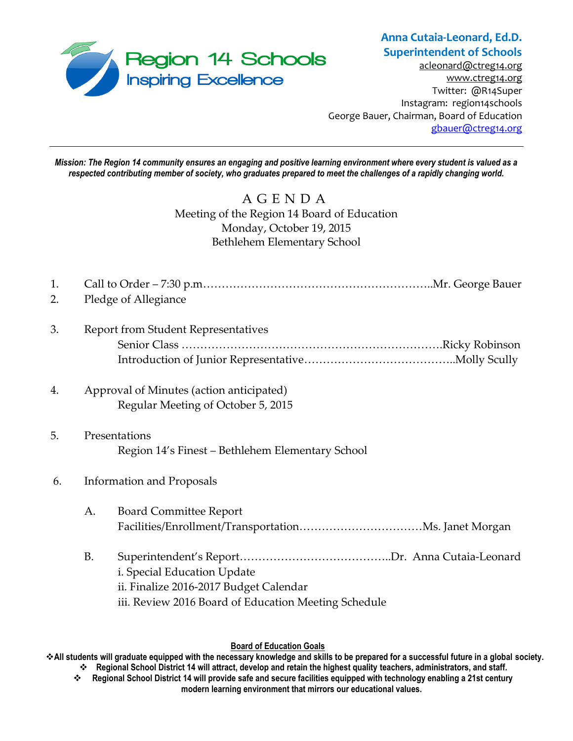

# **Anna Cutaia-Leonard, Ed.D. Superintendent of Schools**

[acleonard@ctreg14.org](mailto:acleonard@ctreg14.org) [www.ctreg14.org](http://www.ctreg14.org/) Twitter: @R14Super Instagram: region14schools George Bauer, Chairman, Board of Education [gbauer@ctreg14.org](mailto:gbauer@ctreg14.org)

*Mission: The Region 14 community ensures an engaging and positive learning environment where every student is valued as a respected contributing member of society, who graduates prepared to meet the challenges of a rapidly changing world.*

# A G E N D A Meeting of the Region 14 Board of Education Monday, October 19, 2015 Bethlehem Elementary School

| 1. |                                          |                                                      |  |  |  |
|----|------------------------------------------|------------------------------------------------------|--|--|--|
| 2. |                                          | Pledge of Allegiance                                 |  |  |  |
| 3. |                                          | <b>Report from Student Representatives</b>           |  |  |  |
|    |                                          |                                                      |  |  |  |
| 4. | Approval of Minutes (action anticipated) |                                                      |  |  |  |
|    |                                          | Regular Meeting of October 5, 2015                   |  |  |  |
| 5. | Presentations                            |                                                      |  |  |  |
|    |                                          | Region 14's Finest - Bethlehem Elementary School     |  |  |  |
| 6. | <b>Information and Proposals</b>         |                                                      |  |  |  |
|    | А.                                       | <b>Board Committee Report</b>                        |  |  |  |
|    |                                          |                                                      |  |  |  |
|    | <b>B.</b>                                |                                                      |  |  |  |
|    |                                          | i. Special Education Update                          |  |  |  |
|    |                                          | ii. Finalize 2016-2017 Budget Calendar               |  |  |  |
|    |                                          | iii. Review 2016 Board of Education Meeting Schedule |  |  |  |
|    |                                          |                                                      |  |  |  |

#### **Board of Education Goals**

**All students will graduate equipped with the necessary knowledge and skills to be prepared for a successful future in a global society. Regional School District 14 will attract, develop and retain the highest quality teachers, administrators, and staff.**

 **Regional School District 14 will provide safe and secure facilities equipped with technology enabling a 21st century modern learning environment that mirrors our educational values.**